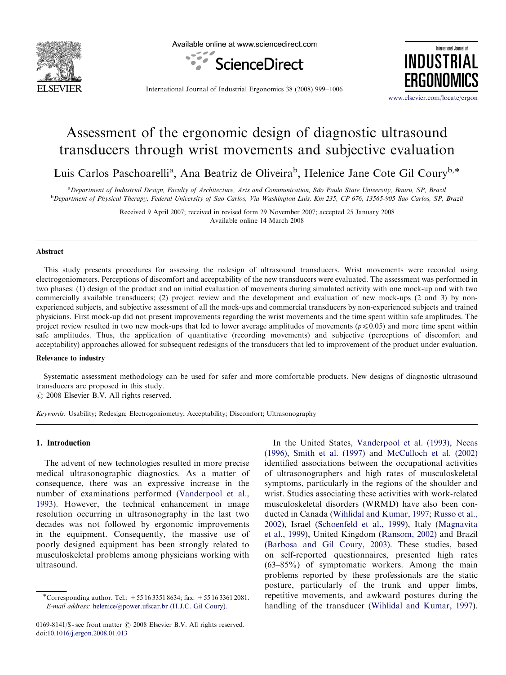

Available online at www.sciencedirect.com





International Journal of Industrial Ergonomics 38 (2008) 999–1006

<www.elsevier.com/locate/ergon>

## Assessment of the ergonomic design of diagnostic ultrasound transducers through wrist movements and subjective evaluation

Luis Carlos Paschoarelli<sup>a</sup>, Ana Beatriz de Oliveira<sup>b</sup>, Helenice Jane Cote Gil Coury<sup>b,\*</sup>

a<br>Department of Industrial Design, Faculty of Architecture, Arts and Communication, São Paulo State University, Bauru, SP, Brazil **b** Department of Physical Therapy, Federal University of Sao Carlos, Via Washington Luis, Km 235, CP 676, 13565-905 Sao Carlos, SP, Brazil

> Received 9 April 2007; received in revised form 29 November 2007; accepted 25 January 2008 Available online 14 March 2008

#### Abstract

This study presents procedures for assessing the redesign of ultrasound transducers. Wrist movements were recorded using electrogoniometers. Perceptions of discomfort and acceptability of the new transducers were evaluated. The assessment was performed in two phases: (1) design of the product and an initial evaluation of movements during simulated activity with one mock-up and with two commercially available transducers; (2) project review and the development and evaluation of new mock-ups (2 and 3) by nonexperienced subjects, and subjective assessment of all the mock-ups and commercial transducers by non-experienced subjects and trained physicians. First mock-up did not present improvements regarding the wrist movements and the time spent within safe amplitudes. The project review resulted in two new mock-ups that led to lower average amplitudes of movements ( $p \le 0.05$ ) and more time spent within safe amplitudes. Thus, the application of quantitative (recording movements) and subjective (perceptions of discomfort and acceptability) approaches allowed for subsequent redesigns of the transducers that led to improvement of the product under evaluation.

## Relevance to industry

Systematic assessment methodology can be used for safer and more comfortable products. New designs of diagnostic ultrasound transducers are proposed in this study.

 $\odot$  2008 Elsevier B.V. All rights reserved.

Keywords: Usability; Redesign; Electrogoniometry; Acceptability; Discomfort; Ultrasonography

#### 1. Introduction

The advent of new technologies resulted in more precise medical ultrasonographic diagnostics. As a matter of consequence, there was an expressive increase in the number of examinations performed [\(Vanderpool et al.,](#page--1-0) [1993](#page--1-0)). However, the technical enhancement in image resolution occurring in ultrasonography in the last two decades was not followed by ergonomic improvements in the equipment. Consequently, the massive use of poorly designed equipment has been strongly related to musculoskeletal problems among physicians working with ultrasound.

In the United States, [Vanderpool et al. \(1993\)](#page--1-0), [Necas](#page--1-0) [\(1996\)](#page--1-0), [Smith et al. \(1997\)](#page--1-0) and [McCulloch et al. \(2002\)](#page--1-0) identified associations between the occupational activities of ultrasonographers and high rates of musculoskeletal symptoms, particularly in the regions of the shoulder and wrist. Studies associating these activities with work-related musculoskeletal disorders (WRMD) have also been conducted in Canada [\(Wihlidal and Kumar, 1997](#page--1-0); [Russo et al.,](#page--1-0) [2002](#page--1-0)), Israel [\(Schoenfeld et al., 1999\)](#page--1-0), Italy [\(Magnavita](#page--1-0) [et al., 1999](#page--1-0)), United Kingdom [\(Ransom, 2002](#page--1-0)) and Brazil ([Barbosa and Gil Coury, 2003\)](#page--1-0). These studies, based on self-reported questionnaires, presented high rates (63–85%) of symptomatic workers. Among the main problems reported by these professionals are the static posture, particularly of the trunk and upper limbs, repetitive movements, and awkward postures during the handling of the transducer [\(Wihlidal and Kumar, 1997\)](#page--1-0).

<sup>\*</sup>Corresponding author. Tel.: +55 16 3351 8634; fax: +55 16 3361 2081. E-mail address: [helenice@power.ufscar.br \(H.J.C. Gil Coury\).](mailto:helenice@power.ufscar.br)

<sup>0169-8141/\$ -</sup> see front matter  $\odot$  2008 Elsevier B.V. All rights reserved. doi:[10.1016/j.ergon.2008.01.013](dx.doi.org/10.1016/j.ergon.2008.01.013)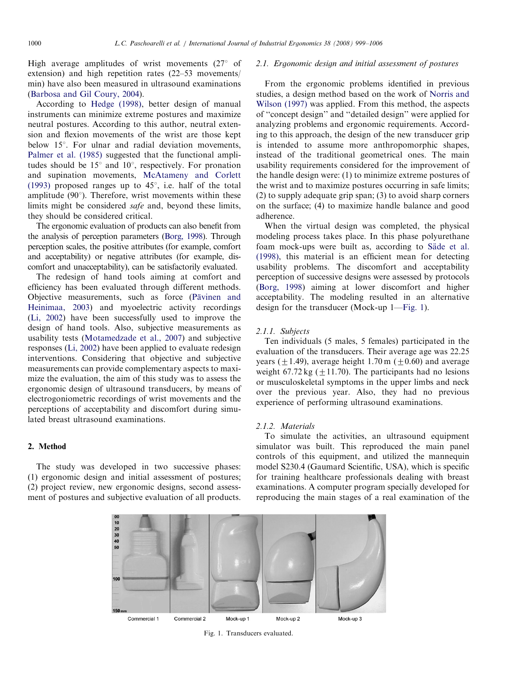High average amplitudes of wrist movements  $(27^{\circ} \text{ of }$ extension) and high repetition rates (22–53 movements/ min) have also been measured in ultrasound examinations [\(Barbosa and Gil Coury, 2004](#page--1-0)).

According to [Hedge \(1998\),](#page--1-0) better design of manual instruments can minimize extreme postures and maximize neutral postures. According to this author, neutral extension and flexion movements of the wrist are those kept below 15°. For ulnar and radial deviation movements, [Palmer et al. \(1985\)](#page--1-0) suggested that the functional amplitudes should be  $15^{\circ}$  and  $10^{\circ}$ , respectively. For pronation and supination movements, [McAtameny and Corlett](#page--1-0) [\(1993\)](#page--1-0) proposed ranges up to  $45^{\circ}$ , i.e. half of the total amplitude  $(90^{\circ})$ . Therefore, wrist movements within these limits might be considered safe and, beyond these limits, they should be considered critical.

The ergonomic evaluation of products can also benefit from the analysis of perception parameters ([Borg, 1998\)](#page--1-0). Through perception scales, the positive attributes (for example, comfort and acceptability) or negative attributes (for example, discomfort and unacceptability), can be satisfactorily evaluated.

The redesign of hand tools aiming at comfort and efficiency has been evaluated through different methods. Objective measurements, such as force (Pävinen and [Heinimaa, 2003\)](#page--1-0) and myoelectric activity recordings [\(Li, 2002\)](#page--1-0) have been successfully used to improve the design of hand tools. Also, subjective measurements as usability tests ([Motamedzade et al., 2007](#page--1-0)) and subjective responses [\(Li, 2002](#page--1-0)) have been applied to evaluate redesign interventions. Considering that objective and subjective measurements can provide complementary aspects to maximize the evaluation, the aim of this study was to assess the ergonomic design of ultrasound transducers, by means of electrogoniometric recordings of wrist movements and the perceptions of acceptability and discomfort during simulated breast ultrasound examinations.

### 2. Method

The study was developed in two successive phases: (1) ergonomic design and initial assessment of postures; (2) project review, new ergonomic designs, second assessment of postures and subjective evaluation of all products.

### 2.1. Ergonomic design and initial assessment of postures

From the ergonomic problems identified in previous studies, a design method based on the work of [Norris and](#page--1-0) [Wilson \(1997\)](#page--1-0) was applied. From this method, the aspects of ''concept design'' and ''detailed design'' were applied for analyzing problems and ergonomic requirements. According to this approach, the design of the new transducer grip is intended to assume more anthropomorphic shapes, instead of the traditional geometrical ones. The main usability requirements considered for the improvement of the handle design were: (1) to minimize extreme postures of the wrist and to maximize postures occurring in safe limits; (2) to supply adequate grip span; (3) to avoid sharp corners on the surface; (4) to maximize handle balance and good adherence.

When the virtual design was completed, the physical modeling process takes place. In this phase polyurethane foam mock-ups were built as, according to Säde et al. [\(1998\)](#page--1-0), this material is an efficient mean for detecting usability problems. The discomfort and acceptability perception of successive designs were assessed by protocols [\(Borg, 1998\)](#page--1-0) aiming at lower discomfort and higher acceptability. The modeling resulted in an alternative design for the transducer (Mock-up 1—Fig. 1).

#### 2.1.1. Subjects

Ten individuals (5 males, 5 females) participated in the evaluation of the transducers. Their average age was 22.25 years ( $+1.49$ ), average height 1.70 m ( $+0.60$ ) and average weight 67.72 kg  $(\pm 11.70)$ . The participants had no lesions or musculoskeletal symptoms in the upper limbs and neck over the previous year. Also, they had no previous experience of performing ultrasound examinations.

## 2.1.2. Materials

To simulate the activities, an ultrasound equipment simulator was built. This reproduced the main panel controls of this equipment, and utilized the mannequin model S230.4 (Gaumard Scientific, USA), which is specific for training healthcare professionals dealing with breast examinations. A computer program specially developed for reproducing the main stages of a real examination of the



Fig. 1. Transducers evaluated.